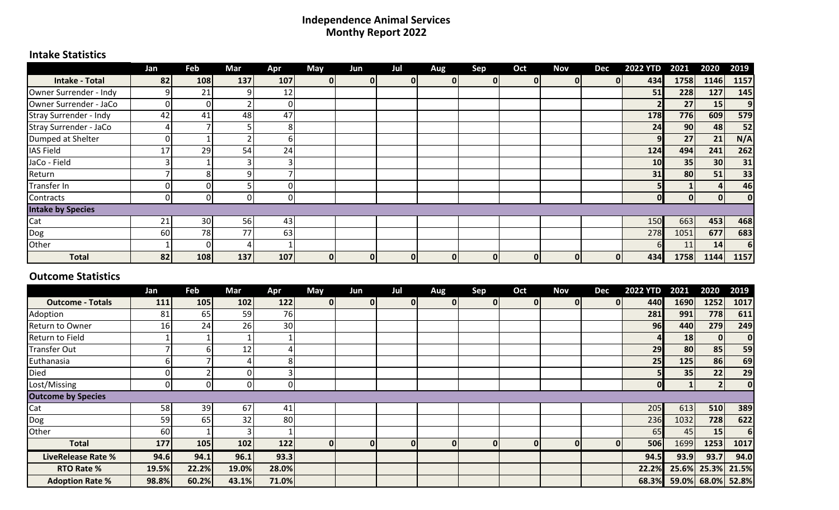#### **Independence Animal Services Monthy Report 2022**

## **Intake Statistics**

|                          | Jan | Feb | Mar | Apr | <b>May</b> | Jun | Jul          | Aug | Sep          | Oct            | <b>Nov</b> | Dec | <b>2022 YTD</b> | 2021         | 2020            | 2019           |
|--------------------------|-----|-----|-----|-----|------------|-----|--------------|-----|--------------|----------------|------------|-----|-----------------|--------------|-----------------|----------------|
| <b>Intake - Total</b>    | 82  | 108 | 137 | 107 | 0          | OΙ  | $\mathbf{0}$ | 01  | 01           | $\overline{0}$ | 0I         |     | 434             | 1758         | 1146            | 1157           |
| Owner Surrender - Indy   |     | 21  | ۹۱  | 12  |            |     |              |     |              |                |            |     | 51              | 228          | 127             | 145            |
| Owner Surrender - JaCo   |     | 0   |     | 0   |            |     |              |     |              |                |            |     |                 | 27           | 15              | 9 <sub>l</sub> |
| Stray Surrender - Indy   | 42  | 41  | 48  | 47  |            |     |              |     |              |                |            |     | 178             | 776          | 609             | 579            |
| Stray Surrender - JaCo   |     |     |     | Ճ   |            |     |              |     |              |                |            |     | 24              | 90           | 48              | 52             |
| Dumped at Shelter        |     |     |     | h   |            |     |              |     |              |                |            |     |                 | 27           | 21              | N/A            |
| <b>IAS Field</b>         | 17  | 29  | 54  | 24  |            |     |              |     |              |                |            |     | 124             | 494          | 241             | 262            |
| JaCo - Field             |     |     |     |     |            |     |              |     |              |                |            |     | 10              | 35           | 30 <sup>1</sup> | 31             |
| Return                   |     | 8   | ۹l  |     |            |     |              |     |              |                |            |     | 31              | 80           | 51              | 33             |
| Transfer In              |     | O   |     |     |            |     |              |     |              |                |            |     |                 |              | 4               | 46             |
| Contracts                |     | 0   | ΩI  | 0   |            |     |              |     |              |                |            |     |                 | $\mathbf{0}$ | $\Omega$        | 0              |
| <b>Intake by Species</b> |     |     |     |     |            |     |              |     |              |                |            |     |                 |              |                 |                |
| Cat                      | 21  | 30  | 56  | 43  |            |     |              |     |              |                |            |     | 150             | 663          | 453             | 468            |
| Dog                      | 60  | 78  | 77  | 63  |            |     |              |     |              |                |            |     | 278             | 1051         | 677             | 683            |
| Other                    |     | 0   |     |     |            |     |              |     |              |                |            |     |                 | 11           | 14              | 6 <sup>1</sup> |
| <b>Total</b>             | 82  | 108 | 137 | 107 | $\bf{0}$   | ΟI  | $\mathbf{0}$ | 01  | $\mathbf{0}$ | 0              | 01         | 0I  | 434             | 1758         | 1144            | 1157           |

#### **Outcome Statistics**

|                           | Jan   | Feb   | Mar   | Apr   | May          | Jun      | Jul | Aug          | Sep | Oct | Nov              | Dec | <b>2022 YTD</b> | 2021            | 2020              | 2019        |
|---------------------------|-------|-------|-------|-------|--------------|----------|-----|--------------|-----|-----|------------------|-----|-----------------|-----------------|-------------------|-------------|
| <b>Outcome - Totals</b>   | 111   | 105   | 102   | 122   | 0            | $\Omega$ | 01  | $\mathbf{0}$ |     | 01  | 0I               | 01  | 440 <b>1</b>    | 1690            | 1252              | 1017        |
| Adoption                  | 81    | 65    | 59    | 76    |              |          |     |              |     |     |                  |     | 281             | 991             | 778               | 611         |
| Return to Owner           | 16    | 24    | 26    | 30    |              |          |     |              |     |     |                  |     | 96              | 440             | 279               | 249         |
| <b>Return to Field</b>    |       |       |       |       |              |          |     |              |     |     |                  |     |                 | <b>18</b>       | 01                | 0           |
| <b>Transfer Out</b>       |       | 6     | 12    |       |              |          |     |              |     |     |                  |     | 29              | 80 <sup>1</sup> | 85                | 59          |
| Euthanasia                |       |       |       | 8     |              |          |     |              |     |     |                  |     | 25              | 125             | 86                | 69          |
| Died                      |       |       |       |       |              |          |     |              |     |     |                  |     | 51              | 35              | 22                | 29          |
| Lost/Missing              |       | ΩI    |       |       |              |          |     |              |     |     |                  |     | $\mathbf{O}$    |                 |                   | 0           |
| <b>Outcome by Species</b> |       |       |       |       |              |          |     |              |     |     |                  |     |                 |                 |                   |             |
| Cat                       | 58    | 39    | 67    | 41    |              |          |     |              |     |     |                  |     | 205             | 613             | 510               | 389         |
| Dog                       | 59    | 65    | 32    | 80    |              |          |     |              |     |     |                  |     | 236             | 1032            | 728               | 622         |
| Other                     | 60    |       |       |       |              |          |     |              |     |     |                  |     | 65              | 45              | 15                | $6 \mid$    |
| <b>Total</b>              | 177   | 105   | 102   | 122   | $\mathbf{0}$ | $\Omega$ | 0   | $\mathbf{0}$ |     | 01  | $\boldsymbol{0}$ | 0   | 506             | 1699            | 1253              | 1017        |
| <b>LiveRelease Rate %</b> | 94.6  | 94.1  | 96.1  | 93.3  |              |          |     |              |     |     |                  |     | 94.5            | 93.9            | 93.7              | 94.0        |
| <b>RTO Rate %</b>         | 19.5% | 22.2% | 19.0% | 28.0% |              |          |     |              |     |     |                  |     | 22.2%           |                 | 25.6% 25.3% 21.5% |             |
| <b>Adoption Rate %</b>    | 98.8% | 60.2% | 43.1% | 71.0% |              |          |     |              |     |     |                  |     | 68.3%           | 59.0%           |                   | 68.0% 52.8% |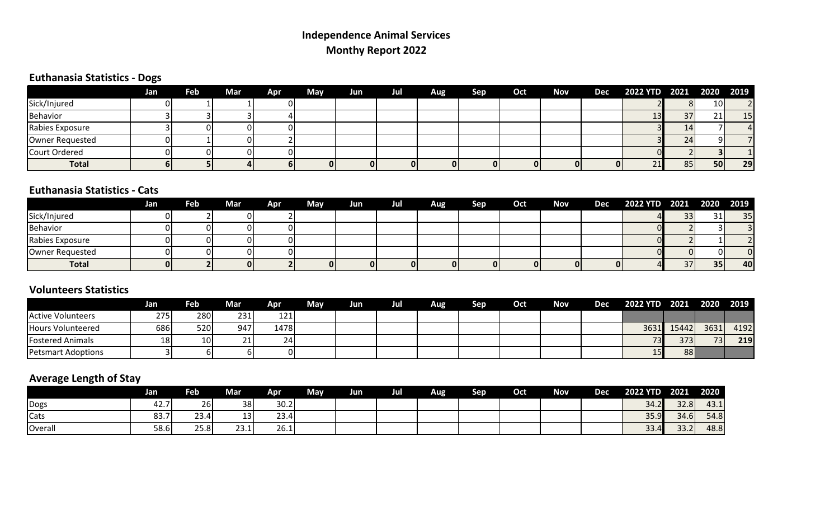# **Independence Animal Services Monthy Report 2022**

## **Euthanasia Statistics - Dogs**

|                      | Jan | Feb | Mar | Apr | May | Jun | Jul | Aug | <b>Sep</b> |    | Oct Nov Dec 2022 YTD 2021 2020 2019 |                 |                 |                |
|----------------------|-----|-----|-----|-----|-----|-----|-----|-----|------------|----|-------------------------------------|-----------------|-----------------|----------------|
| Sick/Injured         |     |     |     |     |     |     |     |     |            |    |                                     |                 | 10 <sup>1</sup> | $\overline{2}$ |
| Behavior             |     |     |     |     |     |     |     |     |            |    | ᅩ                                   | 37              | 71 <sub>1</sub> | 15             |
| Rabies Exposure      |     |     |     |     |     |     |     |     |            |    |                                     | 14              |                 |                |
| Owner Requested      |     |     |     |     |     |     |     |     |            |    |                                     | 24 <sub>1</sub> |                 |                |
| <b>Court Ordered</b> |     |     |     |     |     |     |     |     |            |    |                                     |                 |                 |                |
| <b>Total</b>         |     |     |     |     |     |     |     | 01  | 01         | 01 | 21'                                 | 85              | 50              | 29             |

### **Euthanasia Statistics - Cats**

|                 | Jan | Feb | Mar | Apr | May | Jun | Jul | Aug | Sep | Oct | Nov | Dec | 2022 YTD 2021 2020 2019 |          |    |           |
|-----------------|-----|-----|-----|-----|-----|-----|-----|-----|-----|-----|-----|-----|-------------------------|----------|----|-----------|
| Sick/Injured    |     |     |     |     |     |     |     |     |     |     |     |     |                         | 33       | 31 | 35        |
| Behavior        |     |     |     |     |     |     |     |     |     |     |     |     |                         |          |    |           |
| Rabies Exposure |     |     |     |     |     |     |     |     |     |     |     |     |                         |          |    |           |
| Owner Requested |     |     | ΩI  |     |     |     |     |     |     |     |     |     |                         | $\Omega$ |    |           |
| <b>Total</b>    |     |     | 01  |     |     |     |     | 01  |     | 0l  |     |     |                         | 37       | 35 | <b>40</b> |

#### **Volunteers Statistics**

|                           | Jan | Feb             | Mar | Apr  | <b>May</b> | Jun | Jul | Aug | Sep | Oct | Nov | <b>Dec</b> | 2022 YTD 2021 |       | 2020       | 2019 |
|---------------------------|-----|-----------------|-----|------|------------|-----|-----|-----|-----|-----|-----|------------|---------------|-------|------------|------|
| <b>Active Volunteers</b>  | 275 | 280             | 231 | 121  |            |     |     |     |     |     |     |            |               |       |            |      |
| <b>Hours Volunteered</b>  | 686 | 520             | 947 | 1478 |            |     |     |     |     |     |     |            | 3631          | 15442 | 3631       | 4192 |
| <b>Fostered Animals</b>   | 181 | 10 <sup>1</sup> | 21  | 24   |            |     |     |     |     |     |     |            | 73            | 373   | <b>731</b> | 219  |
| <b>Petsmart Adoptions</b> |     | υı              |     |      |            |     |     |     |     |     |     |            | 15            | 88    |            |      |

# **Average Length of Stay**

|         | Jan  | <b>Feb</b> | Mar  | <b>Apr</b> | May | <b>Jun</b> | Jul | Aug | Sep | Oct | <b>Nov</b> | <b>Dec</b> | <b>2022 YTD</b> | 2021 | 2020 |
|---------|------|------------|------|------------|-----|------------|-----|-----|-----|-----|------------|------------|-----------------|------|------|
| Dogs    | 42.7 | <b>26</b>  | 38   | 30.2       |     |            |     |     |     |     |            |            | 34.2            | 32.8 | 43.1 |
| Cats    | 83.7 | 23.4       | יכו  | 23.4       |     |            |     |     |     |     |            |            | 35.9            | 34.6 | 54.8 |
| Overall | 58.6 | 25.8       | 23.1 | 26.1       |     |            |     |     |     |     |            |            | 33.4            | 33.2 | 48.8 |